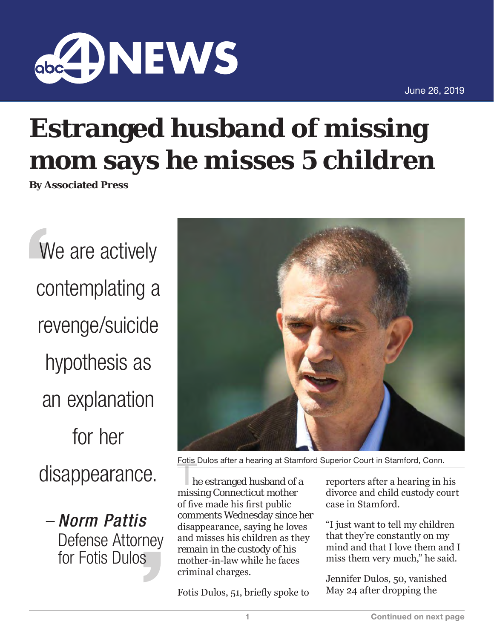

June 26, 2019

## **Estranged husband of missing mom says he misses 5 children**

**By Associated Press**

We are actively contemplating a revenge/suicide hypothesis as an explanation for her disappearance.

– *Norm Pattis* Defense Attorney for Fotis Dulos



Fotis Dulos after a hearing at Stamford Superior Court in Stamford, Conn.

he estranged husband of a missing Connecticut mother of five made his first public comments Wednesday since her disappearance, saying he loves and misses his children as they remain in the custody of his mother-in-law while he faces criminal charges.

Fotis Dulos, 51, briefly spoke to

reporters after a hearing in his divorce and child custody court case in Stamford.

"I just want to tell my children that they're constantly on my mind and that I love them and I miss them very much," he said.

Jennifer Dulos, 50, vanished May 24 after dropping the